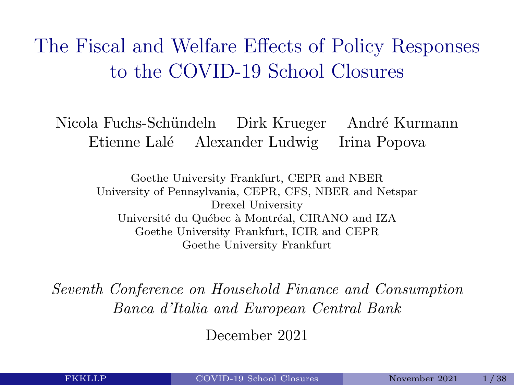<span id="page-0-1"></span><span id="page-0-0"></span>The Fiscal and Welfare Effects of Policy Responses to the COVID-19 School Closures

Nicola Fuchs-Schündeln Dirk Krueger André Kurmann Etienne Lal´e Alexander Ludwig Irina Popova

> Goethe University Frankfurt, CEPR and NBER University of Pennsylvania, CEPR, CFS, NBER and Netspar Drexel University Université du Québec à Montréal, CIRANO and IZA Goethe University Frankfurt, ICIR and CEPR Goethe University Frankfurt

Seventh Conference on Household Finance and Consumption Banca d'Italia and European Central Bank

December 2021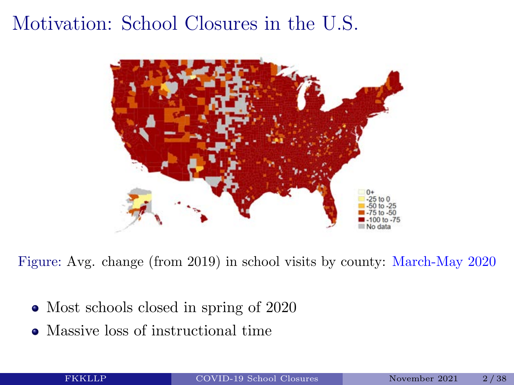### Motivation: School Closures in the U.S.



Figure: Avg. change (from 2019) in school visits by county: March-May 2020

- Most schools closed in spring of 2020
- Massive loss of instructional time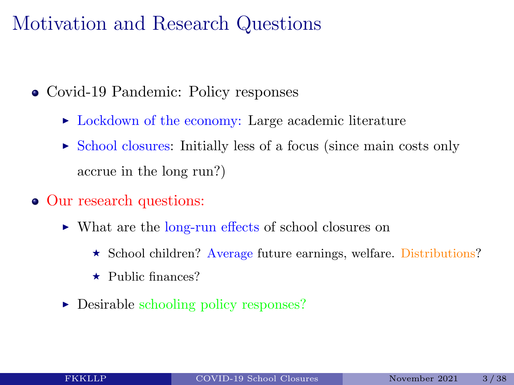### Motivation and Research Questions

- Covid-19 Pandemic: Policy responses
	- $\triangleright$  Lockdown of the economy: Large academic literature
	- $\triangleright$  School closures: Initially less of a focus (since main costs only accrue in the long run?)
- Our research questions:
	- ► What are the long-run effects of school closures on
		- \* School children? Average future earnings, welfare. Distributions?
		- $\star$  Public finances?
	- $\triangleright$  Desirable schooling policy responses?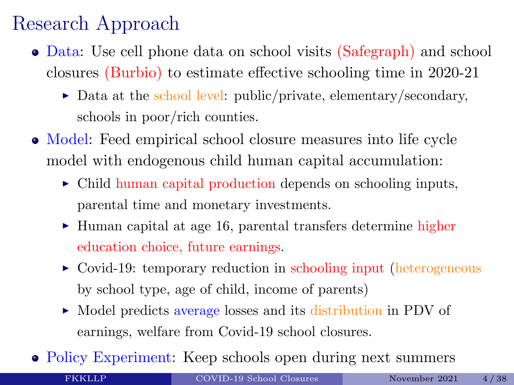### Research Approach

- Data: Use cell phone data on school visits (Safegraph) and school closures (Burbio) to estimate effective schooling time in 2020-21
	- $\triangleright$  Data at the school level: public/private, elementary/secondary, schools in poor/rich counties.
- Model: Feed empirical school closure measures into life cycle model with endogenous child human capital accumulation:
	- $\triangleright$  Child human capital production depends on schooling inputs, parental time and monetary investments.
	- I Human capital at age 16, parental transfers determine higher education choice, future earnings.
	- $\triangleright$  Covid-19: temporary reduction in schooling input (heterogeneous by school type, age of child, income of parents)
	- Model predicts average losses and its distribution in PDV of earnings, welfare from Covid-19 school closures.
- Policy Experiment: Keep schools open during next summers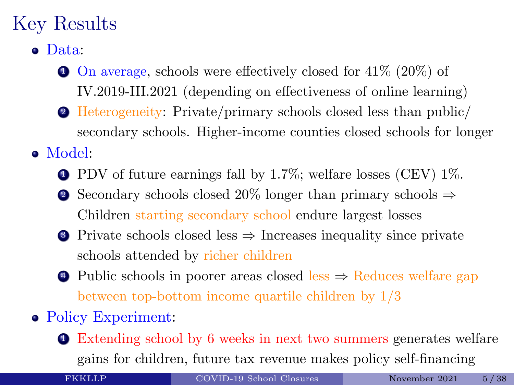### Key Results

- Data:
	- $\bullet$  On average, schools were effectively closed for 41% (20%) of IV.2019-III.2021 (depending on effectiveness of online learning)
	- <sup>2</sup> Heterogeneity: Private/primary schools closed less than public/ secondary schools. Higher-income counties closed schools for longer
- Model:
	- $\bullet$  PDV of future earnings fall by 1.7%; welfare losses (CEV) 1%.
	- 2 Secondary schools closed 20% longer than primary schools  $\Rightarrow$ Children starting secondary school endure largest losses
	- <sup>3</sup> Private schools closed less ⇒ Increases inequality since private schools attended by richer children
	- $\bullet$  Public schools in poorer areas closed less  $\Rightarrow$  Reduces welfare gap between top-bottom income quartile children by 1/3
- Policy Experiment:
	- <sup>1</sup> Extending school by 6 weeks in next two summers generates welfare gains for children, future tax revenue makes policy self-financing

FKKLLP [COVID-19 School Closures](#page-0-0) November 2021 5/38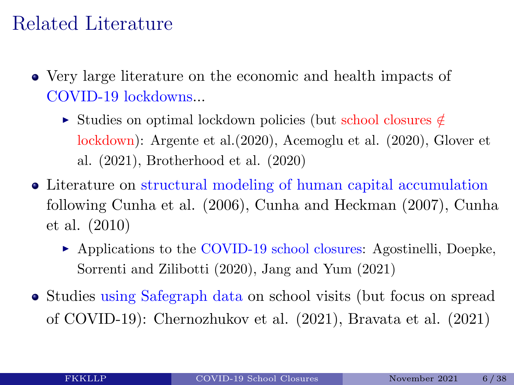### Related Literature

- Very large literature on the economic and health impacts of COVID-19 lockdowns...
	- <sup>I</sup> Studies on optimal lockdown policies (but school closures ∈/ lockdown): Argente et al.(2020), Acemoglu et al. (2020), Glover et al. (2021), Brotherhood et al. (2020)
- Literature on structural modeling of human capital accumulation following Cunha et al. (2006), Cunha and Heckman (2007), Cunha et al. (2010)
	- ▶ Applications to the COVID-19 school closures: Agostinelli, Doepke, Sorrenti and Zilibotti (2020), Jang and Yum (2021)
- Studies using Safegraph data on school visits (but focus on spread of COVID-19): Chernozhukov et al. (2021), Bravata et al. (2021)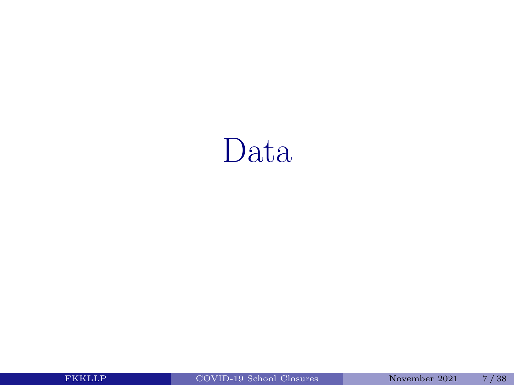### Data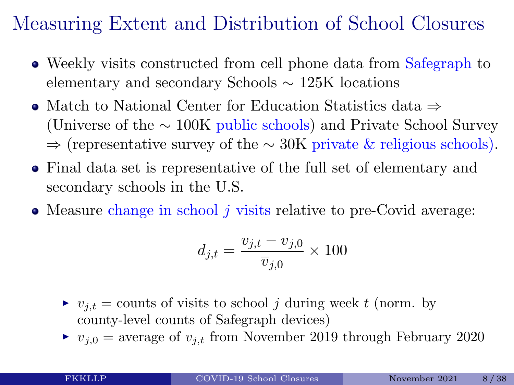### Measuring Extent and Distribution of School Closures

- Weekly visits constructed from cell phone data from Safegraph to elementary and secondary Schools ∼ 125K locations
- Match to National Center for Education Statistics data ⇒ (Universe of the ∼ 100K public schools) and Private School Survey ⇒ (representative survey of the ∼ 30K private & religious schools).
- Final data set is representative of the full set of elementary and secondary schools in the U.S.
- $\bullet$  Measure change in school j visits relative to pre-Covid average:

$$
d_{j,t} = \frac{v_{j,t} - \overline{v}_{j,0}}{\overline{v}_{j,0}} \times 100
$$

- $v_{i,t}$  = counts of visits to school j during week t (norm. by county-level counts of Safegraph devices)
- $\blacktriangleright \overline{v}_{i,0}$  = average of  $v_{i,t}$  from November 2019 through February 2020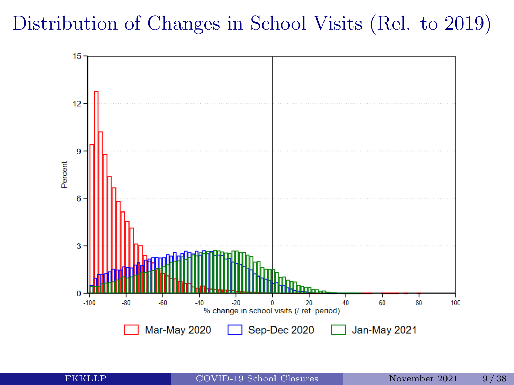### Distribution of Changes in School Visits (Rel. to 2019)

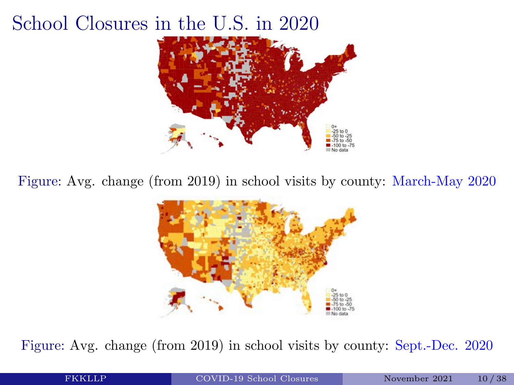### School Closures in the U.S. in 2020



Figure: Avg. change (from 2019) in school visits by county: March-May 2020



Figure: Avg. change (from 2019) in school visits by county: Sept.-Dec. 2020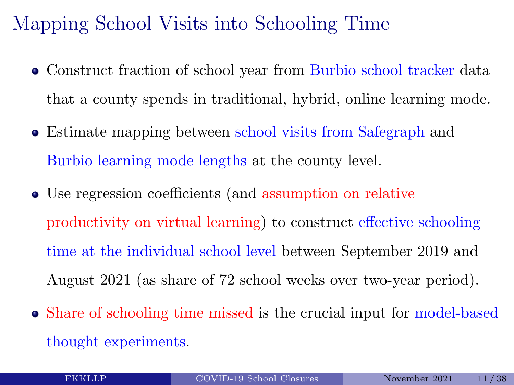### Mapping School Visits into Schooling Time

- Construct fraction of school year from Burbio school tracker data that a county spends in traditional, hybrid, online learning mode.
- Estimate mapping between school visits from Safegraph and Burbio learning mode lengths at the county level.
- Use regression coefficients (and assumption on relative productivity on virtual learning) to construct effective schooling time at the individual school level between September 2019 and August 2021 (as share of 72 school weeks over two-year period).
- Share of schooling time missed is the crucial input for model-based thought experiments.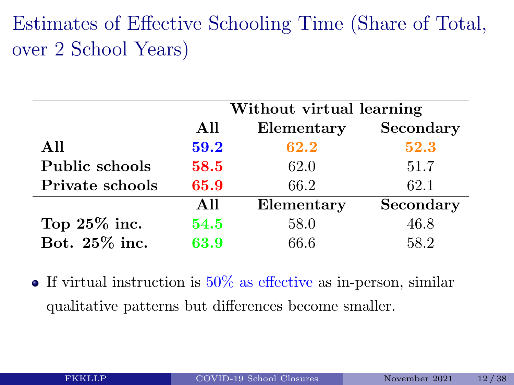### Estimates of Effective Schooling Time (Share of Total, over 2 School Years)

|                 |      | Without virtual learning |           |  |  |  |  |
|-----------------|------|--------------------------|-----------|--|--|--|--|
|                 | All  | Elementary               | Secondary |  |  |  |  |
| All             | 59.2 | 62.2                     | 52.3      |  |  |  |  |
| Public schools  | 58.5 | 62.0                     | 51.7      |  |  |  |  |
| Private schools | 65.9 | 66.2                     | 62.1      |  |  |  |  |
|                 | All  | Elementary               | Secondary |  |  |  |  |
| Top $25\%$ inc. | 54.5 | 58.0                     | 46.8      |  |  |  |  |
| Bot. 25% inc.   | 63.9 | 66.6                     | 58.2      |  |  |  |  |

 $\bullet$  If virtual instruction is  $50\%$  as effective as in-person, similar qualitative patterns but differences become smaller.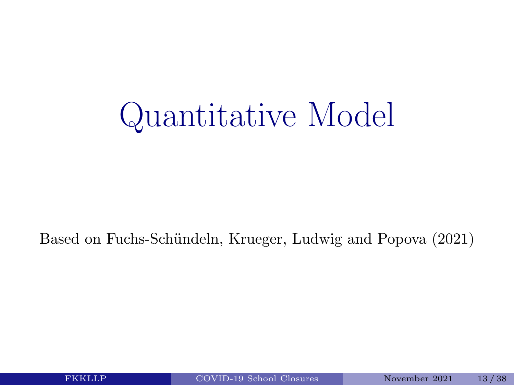## Quantitative Model

#### Based on Fuchs-Schündeln, Krueger, Ludwig and Popova (2021)

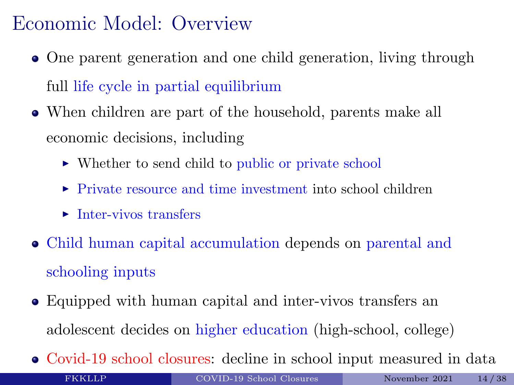### Economic Model: Overview

- One parent generation and one child generation, living through full life cycle in partial equilibrium
- When children are part of the household, parents make all economic decisions, including
	- $\triangleright$  Whether to send child to public or private school
	- $\triangleright$  Private resource and time investment into school children
	- $\blacktriangleright$  Inter-vivos transfers
- Child human capital accumulation depends on parental and schooling inputs
- Equipped with human capital and inter-vivos transfers an adolescent decides on higher education (high-school, college)
- Covid-19 school closures: decline in school input measured in data FKKLLP [COVID-19 School Closures](#page-0-0) November 2021 14/38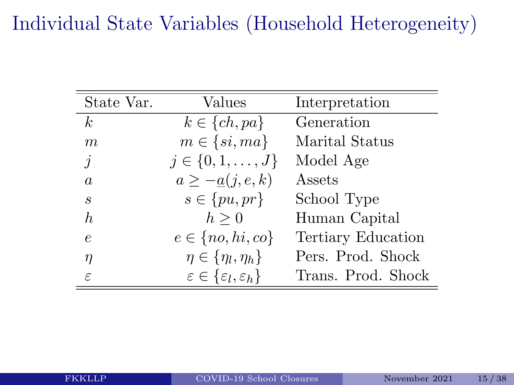### Individual State Variables (Household Heterogeneity)

| State Var.     | Values                                           | Interpretation     |
|----------------|--------------------------------------------------|--------------------|
| k <sub>i</sub> | $k \in \{ch, pa\}$                               | Generation         |
| m              | $m \in \{si, ma\}$                               | Marital Status     |
| $\dot{j}$      | $j \in \{0, 1, \ldots, J\}$                      | Model Age          |
| $\overline{a}$ | $a \geq -a(j, e, k)$                             | Assets             |
| S              | $s \in \{pu, pr\}$                               | School Type        |
| h,             | $h\geq 0$                                        | Human Capital      |
| $\epsilon$     | $e \in \{no, hi, co\}$                           | Tertiary Education |
| η              | $\eta \in \{\eta_l, \eta_h\}$                    | Pers. Prod. Shock  |
| ε              | $\varepsilon \in {\varepsilon_l, \varepsilon_h}$ | Trans. Prod. Shock |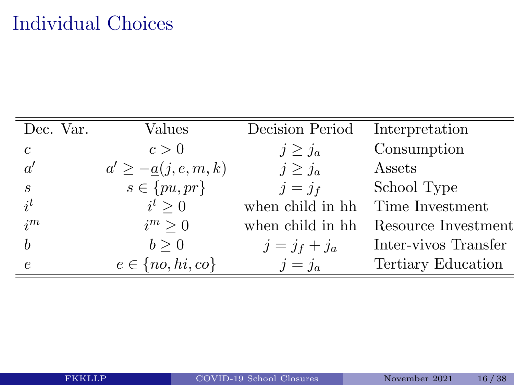### Individual Choices

| Dec. Var.                   | Values                   | Decision Period  | Interpretation       |
|-----------------------------|--------------------------|------------------|----------------------|
| $\mathcal{C}$               | c > 0                    | $j \geq j_a$     | Consumption          |
| a'                          | $a' \geq -a(j, e, m, k)$ | $j \geq j_a$     | Assets               |
| $\mathcal{S}_{\mathcal{S}}$ | $s \in \{pu, pr\}$       | $j=j_f$          | School Type          |
| $i^{t}$                     | $i^t > 0$                | when child in hh | Time Investment      |
| $i^{m}$                     | $i^m > 0$                | when child in hh | Resource Investment  |
|                             | b > 0                    | $j = j_f + j_a$  | Inter-vivos Transfer |
| $\epsilon$                  | $e \in \{no, hi, co\}$   | $j=j_a$          | Tertiary Education   |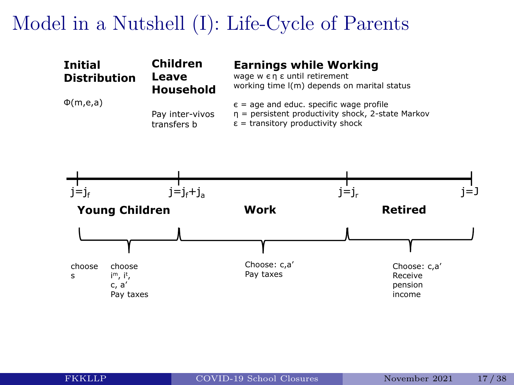### Model in a Nutshell (I): Life-Cycle of Parents

|                     |                          | el in a Nutshell (I): Life-Cycle of Parents                                                                  |  |
|---------------------|--------------------------|--------------------------------------------------------------------------------------------------------------|--|
| <b>Initial</b>      | <b>Children</b><br>Leave | <b>Earnings while Working</b><br>wage w εη ε until retirement<br>working time I(m) depends on marital status |  |
| <b>Distribution</b> | Household                |                                                                                                              |  |

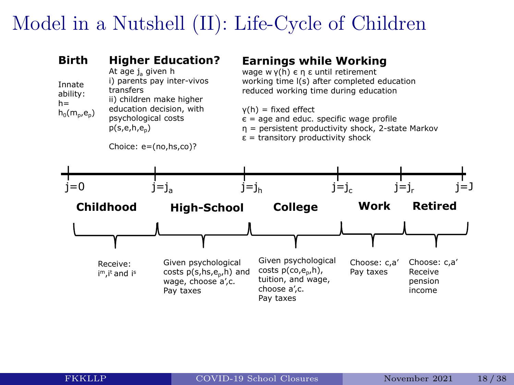### Model in a Nutshell (II): Life-Cycle of Children

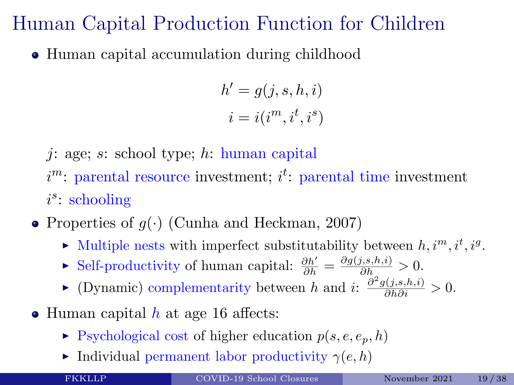### Human Capital Production Function for Children

• Human capital accumulation during childhood

$$
h' = g(j, s, h, i)
$$

$$
i = i(im, it, is)
$$

- $i: \text{age}; s: \text{school type}; h: \text{human capital}$
- $i<sup>m</sup>$ : parental resource investment;  $i<sup>t</sup>$ : parental time investment i s : schooling
- Properties of  $g(\cdot)$  (Cunha and Heckman, 2007)
	- $\blacktriangleright$  Multiple nests with imperfect substitutability between  $h, i^m, i^t, i^g$ .
	- ► Self-productivity of human capital:  $\frac{\partial h'}{\partial h} = \frac{\partial g(j,s,h,i)}{\partial h} > 0$ .
	- ► (Dynamic) complementarity between h and i:  $\frac{\partial^2 g(j,s,h,i)}{\partial h \partial i} > 0$ .
- $\bullet$  Human capital h at age 16 affects:
	- $\blacktriangleright$  Psychological cost of higher education  $p(s, e, e_p, h)$
	- Individual permanent labor productivity  $\gamma(e, h)$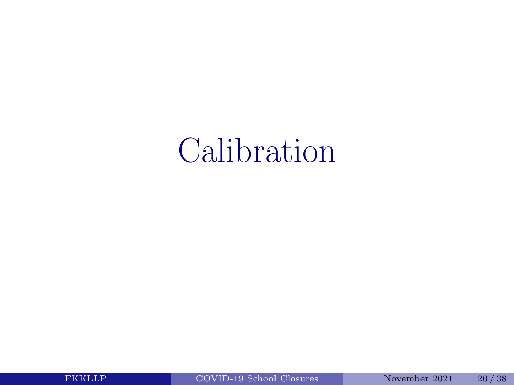### Calibration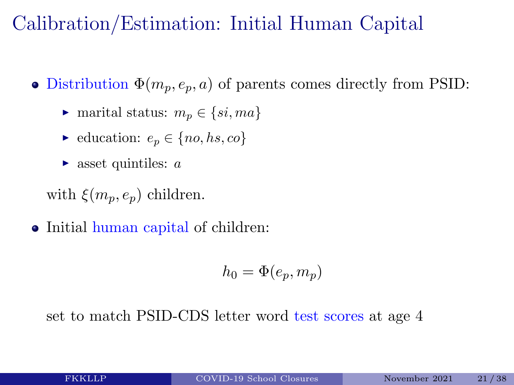### Calibration/Estimation: Initial Human Capital

- Distribution  $\Phi(m_p, e_p, a)$  of parents comes directly from PSID:
	- $\triangleright$  marital status:  $m_n \in \{si, ma\}$
	- $\blacktriangleright$  education:  $e_p \in \{no, hs, co\}$
	- $\triangleright$  asset quintiles: a

with  $\xi(m_p, e_p)$  children.

• Initial human capital of children:

$$
h_0 = \Phi(e_p, m_p)
$$

set to match PSID-CDS letter word test scores at age 4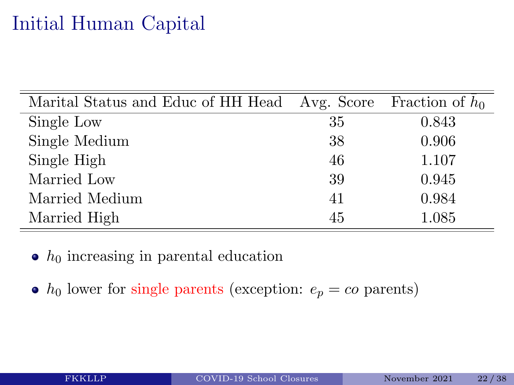### Initial Human Capital

| Marital Status and Educ of HH Head Avg. Score |    | Fraction of $h_0$ |
|-----------------------------------------------|----|-------------------|
| Single Low                                    | 35 | 0.843             |
| Single Medium                                 | 38 | 0.906             |
| Single High                                   | 46 | 1.107             |
| Married Low                                   | 39 | 0.945             |
| Married Medium                                | 41 | 0.984             |
| Married High                                  | 45 | 1.085             |

 $\bullet$  h<sub>0</sub> increasing in parental education

 $\bullet$  h<sub>0</sub> lower for single parents (exception:  $e_p = co$  parents)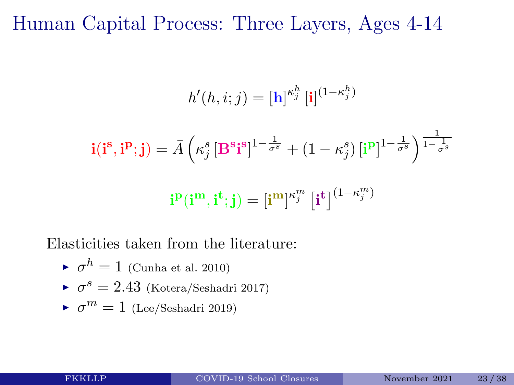#### Human Capital Process: Three Layers, Ages 4-14

$$
h'(h, i; j) = [\mathbf{h}]^{\kappa_j^h} [\mathbf{i}]^{(1-\kappa_j^h)}
$$

$$
\mathbf{i}(\mathbf{i}^\mathbf{s}, \mathbf{i}^\mathbf{p}; \mathbf{j}) = \bar{A} \left( \kappa_j^s \left[ \mathbf{B}^\mathbf{s} \mathbf{i}^\mathbf{s} \right]^{1-\frac{1}{\sigma^s}} + (1-\kappa_j^s) \left[ \mathbf{i}^\mathbf{p} \right]^{1-\frac{1}{\sigma^s}} \right)^{\frac{1}{1-\frac{1}{\sigma^s}}}
$$

$$
\mathbf{i}^\mathbf{p}(\mathbf{i}^\mathbf{m}, \mathbf{i}^\mathbf{t}; \mathbf{j}) = \left[ \mathbf{i}^\mathbf{m} \right]^{\kappa_j^m} \left[ \mathbf{i}^\mathbf{t} \right]^{(1-\kappa_j^m)}
$$

h

Elasticities taken from the literature:

$$
\blacktriangleright \sigma^h = 1 \text{ (Cunha et al. 2010)}
$$

$$
\blacktriangleright
$$
  $\sigma^s=2.43$  (Kotera/Seshadri 2017)

$$
\blacktriangleright \ \sigma^m = 1
$$
 (Lee/Seshadri 2019)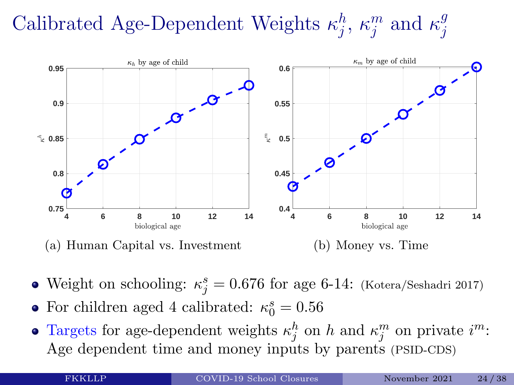#### Calibrated Age-Dependent Weights  $\kappa_i^h$  $_{j}^{h},\,\kappa_{j}^{m}$  $j^n$  and  $\kappa_j^g$ j



- Weight on schooling:  $\kappa_j^s = 0.676$  for age 6-14: (Kotera/Seshadri 2017)
- For children aged 4 calibrated:  $\kappa_0^s = 0.56$
- Targets for age-dependent weights  $\kappa_j^h$  on h and  $\kappa_j^m$  on private  $i^m$ : Age dependent time and money inputs by parents (PSID-CDS)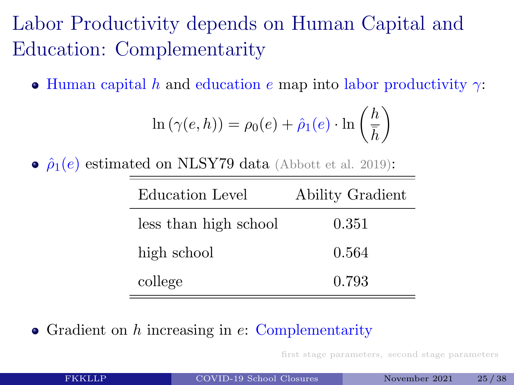### Labor Productivity depends on Human Capital and Education: Complementarity

• Human capital h and education e map into labor productivity  $\gamma$ :

$$
\ln(\gamma(e, h)) = \rho_0(e) + \hat{\rho}_1(e) \cdot \ln\left(\frac{h}{\bar{h}}\right)
$$

•  $\hat{\rho}_1(e)$  estimated on NLSY79 data (Abbott et al. 2019):

| Education Level       | Ability Gradient |
|-----------------------|------------------|
| less than high school | 0.351            |
| high school           | 0.564            |
| college               | 0.793            |

• Gradient on  $h$  increasing in  $e$ : Complementarity

[first stage parameters, second stage parameters](#page-0-1)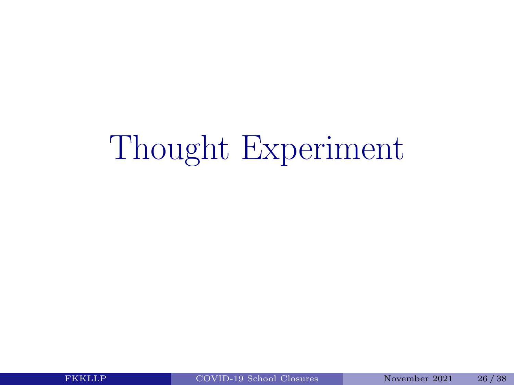# Thought Experiment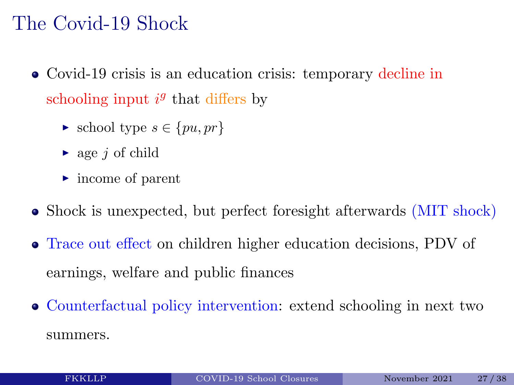#### The Covid-19 Shock

- Covid-19 crisis is an education crisis: temporary decline in schooling input  $i^g$  that differs by
	- $\blacktriangleright$  school type  $s \in \{pu, pr\}$
	- $\triangleright$  age *i* of child
	- $\blacktriangleright$  income of parent
- Shock is unexpected, but perfect foresight afterwards (MIT shock)
- Trace out effect on children higher education decisions, PDV of earnings, welfare and public finances
- Counterfactual policy intervention: extend schooling in next two summers.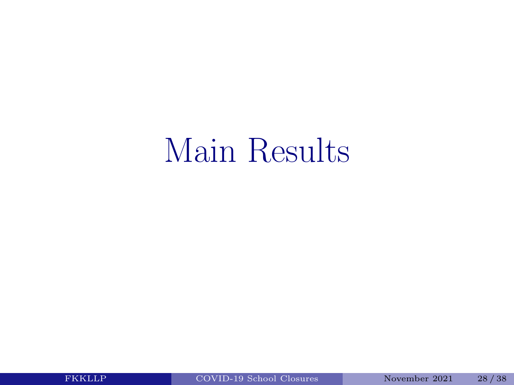### Main Results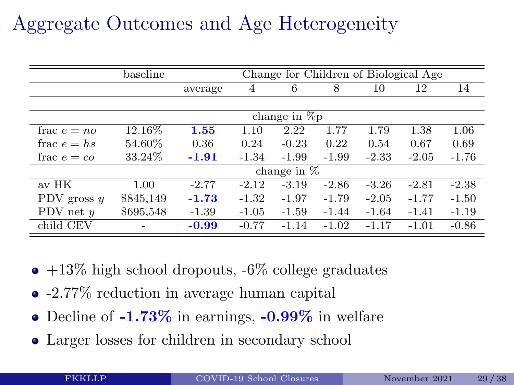### Aggregate Outcomes and Age Heterogeneity

|                  | baseline  |         |         | Change for Children of Biological Age |         |         |         |         |
|------------------|-----------|---------|---------|---------------------------------------|---------|---------|---------|---------|
|                  |           | average | 4       | 6                                     | 8       | 10      | 12      | 14      |
|                  |           |         |         |                                       |         |         |         |         |
|                  |           |         |         | change in $\%p$                       |         |         |         |         |
| frac $e = n\rho$ | 12.16\%   | 1.55    | 1.10    | 2.22                                  | 1.77    | 1.79    | 1.38    | 1.06    |
| frac $e = hs$    | 54.60%    | 0.36    | 0.24    | $-0.23$                               | 0.22    | 0.54    | 0.67    | 0.69    |
| frac $e = co$    | 33.24\%   | $-1.91$ | $-1.34$ | $-1.99$                               | $-1.99$ | $-2.33$ | $-2.05$ | $-1.76$ |
|                  |           |         |         | change in $%$                         |         |         |         |         |
| av HK            | 1.00      | $-2.77$ | $-2.12$ | $-3.19$                               | $-2.86$ | $-3.26$ | $-2.81$ | $-2.38$ |
| PDV gross $y$    | \$845,149 | $-1.73$ | $-1.32$ | $-1.97$                               | $-1.79$ | $-2.05$ | $-1.77$ | $-1.50$ |
| PDV net $y$      | \$695,548 | $-1.39$ | $-1.05$ | $-1.59$                               | $-1.44$ | $-1.64$ | $-1.41$ | $-1.19$ |
| child CEV        |           | $-0.99$ | $-0.77$ | $-1.14$                               | $-1.02$ | $-1.17$ | $-1.01$ | $-0.86$ |

- $\bullet$  +13% high school dropouts, -6% college graduates
- -2.77% reduction in average human capital
- Decline of  $-1.73\%$  in earnings,  $-0.99\%$  in welfare
- Larger losses for children in secondary school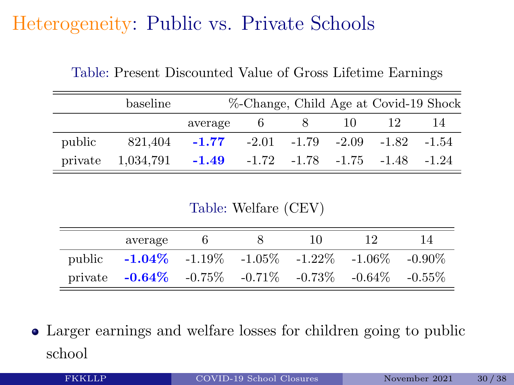### Heterogeneity: Public vs. Private Schools

|        | baseline                                                |                                                           |  | %-Change, Child Age at Covid-19 Shock |  |
|--------|---------------------------------------------------------|-----------------------------------------------------------|--|---------------------------------------|--|
|        |                                                         | average 6                                                 |  | 10 12                                 |  |
| public |                                                         | $821.404$ $-1.77$ $-2.01$ $-1.79$ $-2.09$ $-1.82$ $-1.54$ |  |                                       |  |
|        | private $1,034,791$ -1.49 -1.72 -1.78 -1.75 -1.48 -1.24 |                                                           |  |                                       |  |

Table: Present Discounted Value of Gross Lifetime Earnings

Table: Welfare (CEV)

|        | average                                                             |  | 10 | 14 |
|--------|---------------------------------------------------------------------|--|----|----|
| public | $-1.04\%$ $-1.19\%$ $-1.05\%$ $-1.22\%$ $-1.06\%$ $-0.90\%$         |  |    |    |
|        | private $-0.64\%$ $-0.75\%$ $-0.71\%$ $-0.73\%$ $-0.64\%$ $-0.55\%$ |  |    |    |

Larger earnings and welfare losses for children going to public school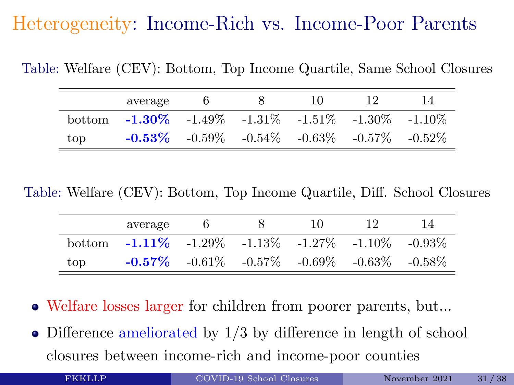### Heterogeneity: Income-Rich vs. Income-Poor Parents

Table: Welfare (CEV): Bottom, Top Income Quartile, Same School Closures

|         | average                                           |                                                             | 10 | ΤV | 14        |
|---------|---------------------------------------------------|-------------------------------------------------------------|----|----|-----------|
| bottom. | $-1.30\%$ $-1.49\%$ $-1.31\%$ $-1.51\%$ $-1.30\%$ |                                                             |    |    | $-1.10\%$ |
| top     |                                                   | $-0.53\%$ $-0.59\%$ $-0.54\%$ $-0.63\%$ $-0.57\%$ $-0.52\%$ |    |    |           |

Table: Welfare (CEV): Bottom, Top Income Quartile, Diff. School Closures

|        | average                                                     |                                                             | 10 | 14 |
|--------|-------------------------------------------------------------|-------------------------------------------------------------|----|----|
| bottom | $-1.11\%$ $-1.29\%$ $-1.13\%$ $-1.27\%$ $-1.10\%$ $-0.93\%$ |                                                             |    |    |
| top    |                                                             | $-0.57\%$ $-0.61\%$ $-0.57\%$ $-0.69\%$ $-0.63\%$ $-0.58\%$ |    |    |

- Welfare losses larger for children from poorer parents, but...
- Difference ameliorated by 1/3 by difference in length of school closures between income-rich and income-poor counties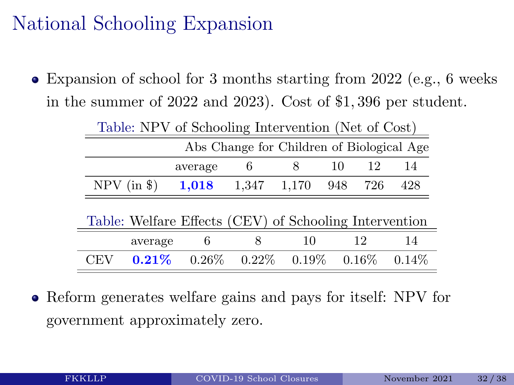### National Schooling Expansion

Expansion of school for 3 months starting from 2022 (e.g., 6 weeks in the summer of 2022 and 2023). Cost of \$1, 396 per student.

| Table: NPV of Schooling Intervention (Net of Cost) |                                                        |          |          |          |     |          |          |
|----------------------------------------------------|--------------------------------------------------------|----------|----------|----------|-----|----------|----------|
| Abs Change for Children of Biological Age          |                                                        |          |          |          |     |          |          |
|                                                    |                                                        | average  | 6        | 8        | 10  | 12       | 14       |
| $NPV$ (in \$)                                      |                                                        | 1,018    | 1,347    | 1,170    | 948 | 726      | 428      |
|                                                    |                                                        |          |          |          |     |          |          |
|                                                    | Table: Welfare Effects (CEV) of Schooling Intervention |          |          |          |     |          |          |
|                                                    | average                                                | 6        | 8        | 10       |     | 12       | 14       |
| CEV                                                | $0.21\%$                                               | $0.26\%$ | $0.22\%$ | $0.19\%$ |     | $0.16\%$ | $0.14\%$ |

• Reform generates welfare gains and pays for itself: NPV for government approximately zero.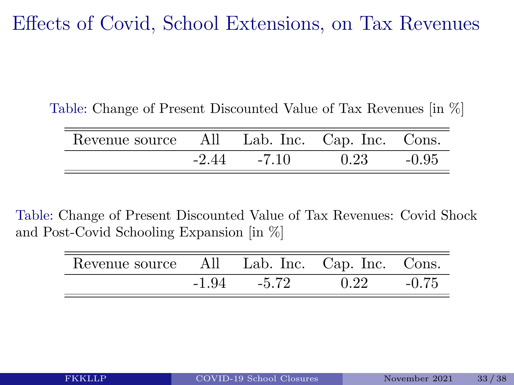Effects of Covid, School Extensions, on Tax Revenues

Table: Change of Present Discounted Value of Tax Revenues [in %]

| Revenue source All Lab. Inc. Cap. Inc. Cons. |         |         |      |         |
|----------------------------------------------|---------|---------|------|---------|
|                                              | $-2.44$ | $-7.10$ | 0.23 | $-0.95$ |

Table: Change of Present Discounted Value of Tax Revenues: Covid Shock and Post-Covid Schooling Expansion [in %]

| Revenue source All |         |         | Lab. Inc. Cap. Inc. Cons. |         |
|--------------------|---------|---------|---------------------------|---------|
|                    | $-1.94$ | $-5.72$ | 0.22                      | $-0.75$ |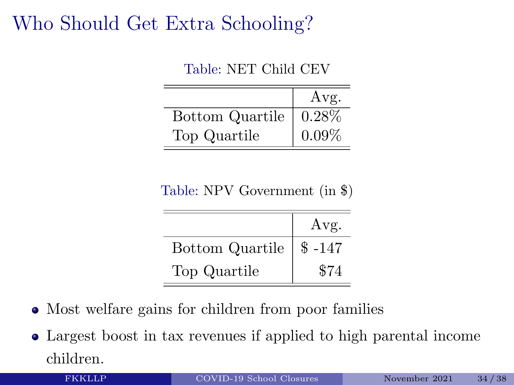### Who Should Get Extra Schooling?

Table: NET Child CEV

|                 | Avg.     |
|-----------------|----------|
| Bottom Quartile | 0.28%    |
| Top Quartile    | $0.09\%$ |

| Table: NPV Government (in \$) |  |  |
|-------------------------------|--|--|
|-------------------------------|--|--|

|                        | Avg.    |
|------------------------|---------|
| <b>Bottom Quartile</b> | $$-147$ |
| Top Quartile           | \$74    |

- Most welfare gains for children from poor families
- Largest boost in tax revenues if applied to high parental income children.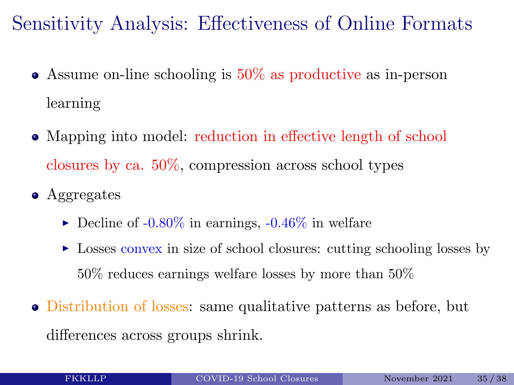Sensitivity Analysis: Effectiveness of Online Formats

- Assume on-line schooling is 50% as productive as in-person learning
- Mapping into model: reduction in effective length of school closures by ca. 50%, compression across school types
- Aggregates
	- $\blacktriangleright$  Decline of -0.80% in earnings, -0.46% in welfare
	- $\triangleright$  Losses convex in size of school closures: cutting schooling losses by 50% reduces earnings welfare losses by more than 50%
- Distribution of losses: same qualitative patterns as before, but differences across groups shrink.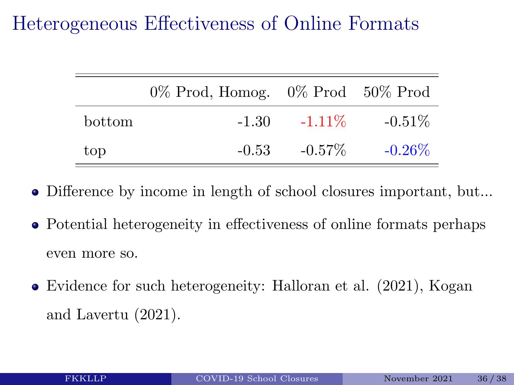### Heterogeneous Effectiveness of Online Formats

|        | $0\%$ Prod, Homog. $0\%$ Prod $50\%$ Prod |           |           |
|--------|-------------------------------------------|-----------|-----------|
| bottom | $-1.30$                                   | $-1.11\%$ | $-0.51\%$ |
| top    | $-0.53$                                   | $-0.57\%$ | $-0.26\%$ |

- Difference by income in length of school closures important, but...
- Potential heterogeneity in effectiveness of online formats perhaps even more so.
- Evidence for such heterogeneity: Halloran et al. (2021), Kogan and Lavertu (2021).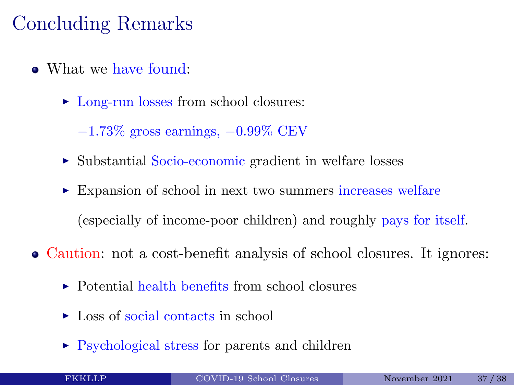### Concluding Remarks

- What we have found:
	- ► Long-run losses from school closures:

 $-1.73\%$  gross earnings,  $-0.99\%$  CEV

- ► Substantial Socio-economic gradient in welfare losses
- ► Expansion of school in next two summers increases welfare (especially of income-poor children) and roughly pays for itself.
- Caution: not a cost-benefit analysis of school closures. It ignores:
	- $\triangleright$  Potential health benefits from school closures
	- $\blacktriangleright$  Loss of social contacts in school
	- $\triangleright$  Psychological stress for parents and children